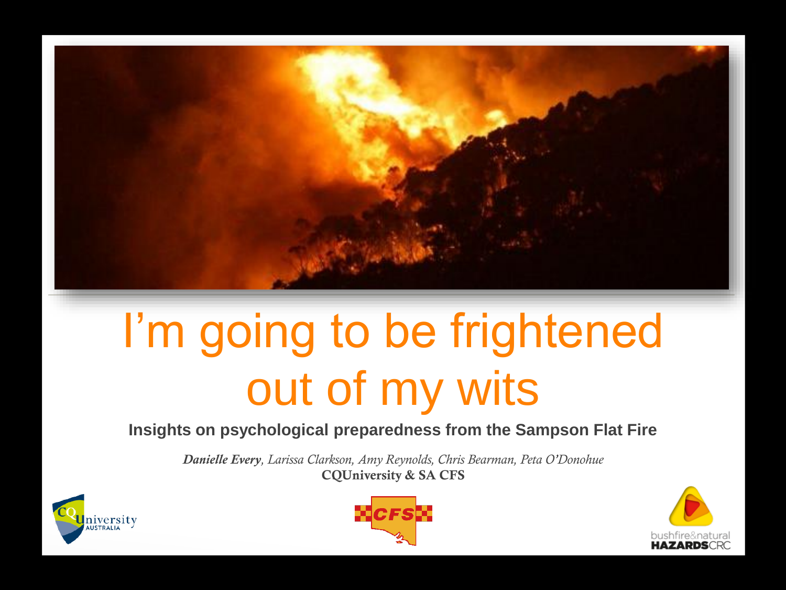

#### I'm going to be frightened out of my wits

**Insights on psychological preparedness from the Sampson Flat Fire**

*Danielle Every, Larissa Clarkson, Amy Reynolds, Chris Bearman, Peta O'Donohue* **CQUniversity & SA CFS**





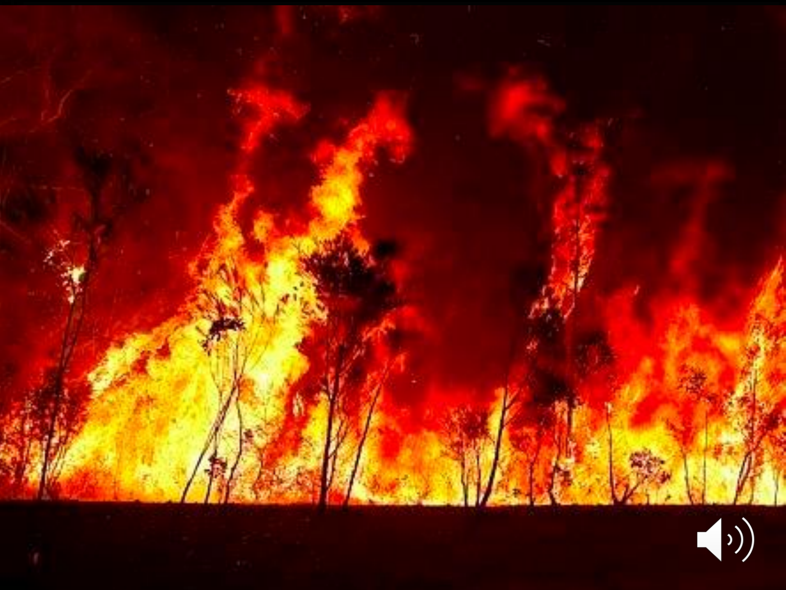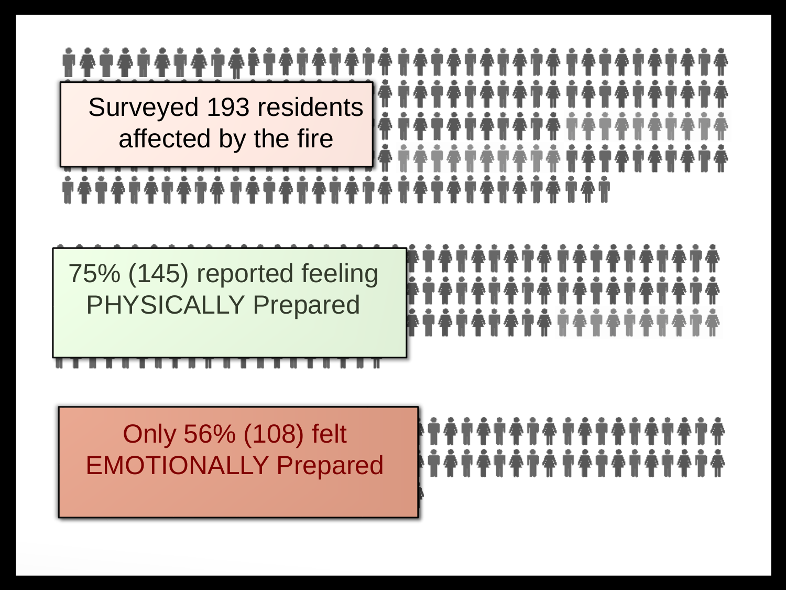



Only 56% (108) felt EMOTIONALLY Prepared

|  |  |  |  |  |  |  |  |  | \\$\$\$\$\$\$\$\$\$\$\$\$\$\$\$\$\$\$ |
|--|--|--|--|--|--|--|--|--|---------------------------------------|
|  |  |  |  |  |  |  |  |  |                                       |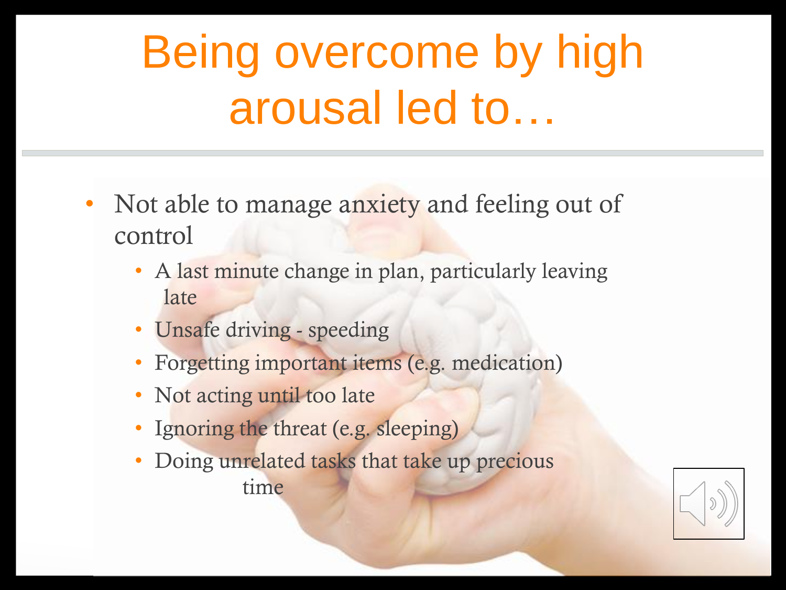#### Being overcome by high arousal led to…

- Not able to manage anxiety and feeling out of control
	- A last minute change in plan, particularly leaving late
	- Unsafe driving speeding
	- Forgetting important items (e.g. medication)
	- Not acting until too late
	- Ignoring the threat (e.g. sleeping)
	- Doing unrelated tasks that take up precious time

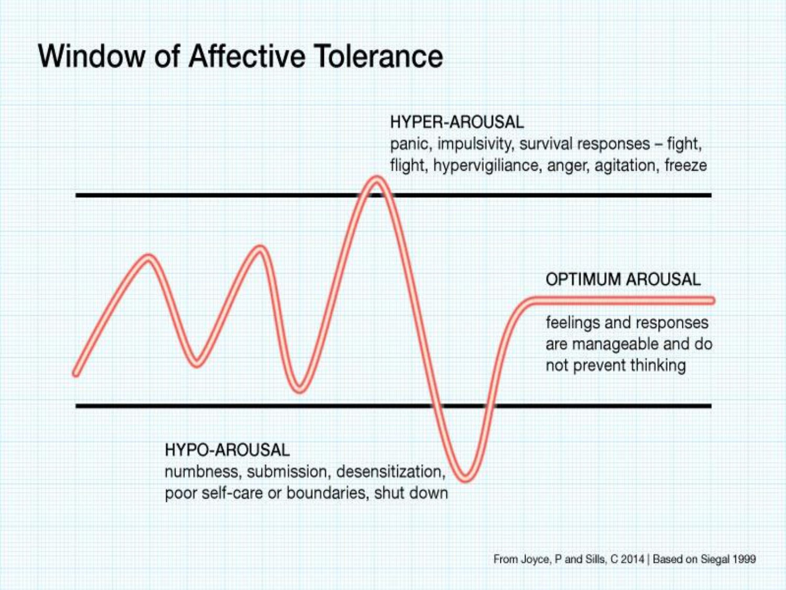#### **Window of Affective Tolerance**

**HYPER-AROUSAL** 

panic, impulsivity, survival responses - fight, flight, hypervigiliance, anger, agitation, freeze

#### **OPTIMUM AROUSAL**

feelings and responses are manageable and do not prevent thinking

#### **HYPO-AROUSAL**

numbness, submission, desensitization, poor self-care or boundaries, shut down

From Joyce, P and Sills, C 2014 | Based on Siegal 1999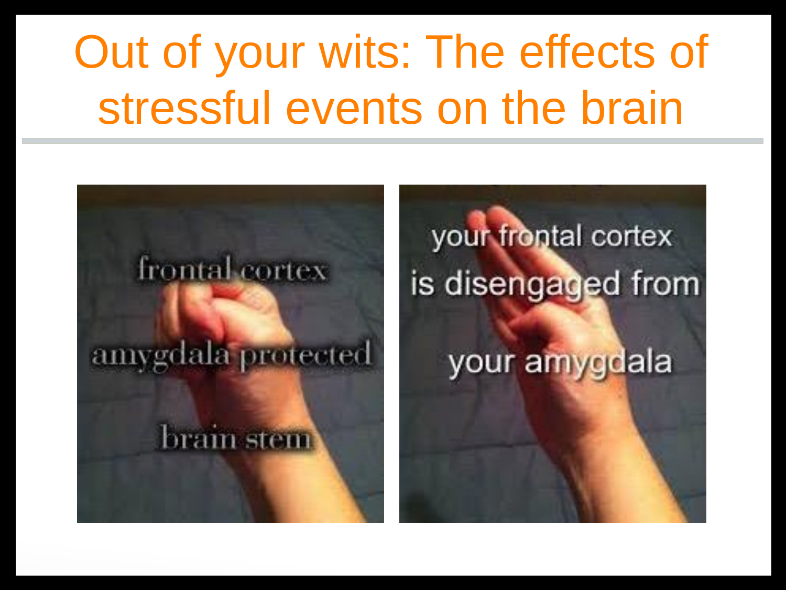#### Out of your wits: The effects of stressful events on the brain

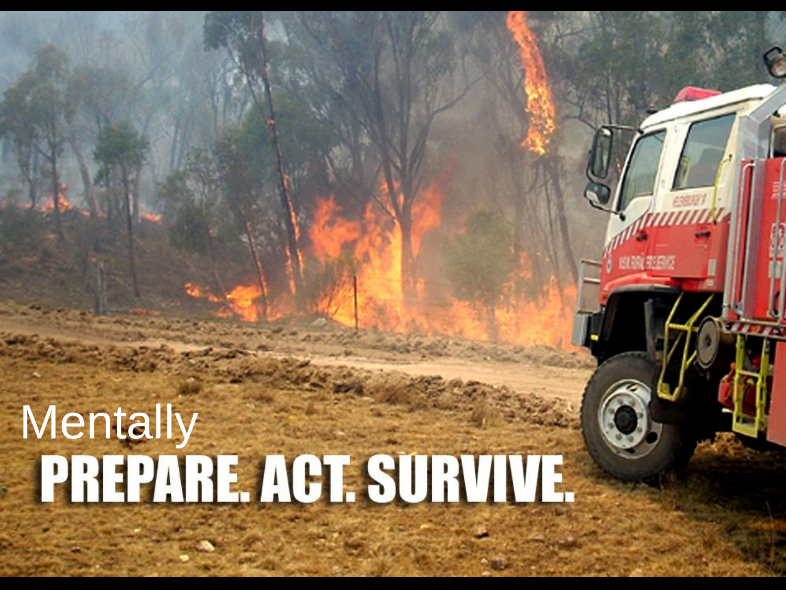# Mentally<br>**PREPARE. ACT. SURVIVE.**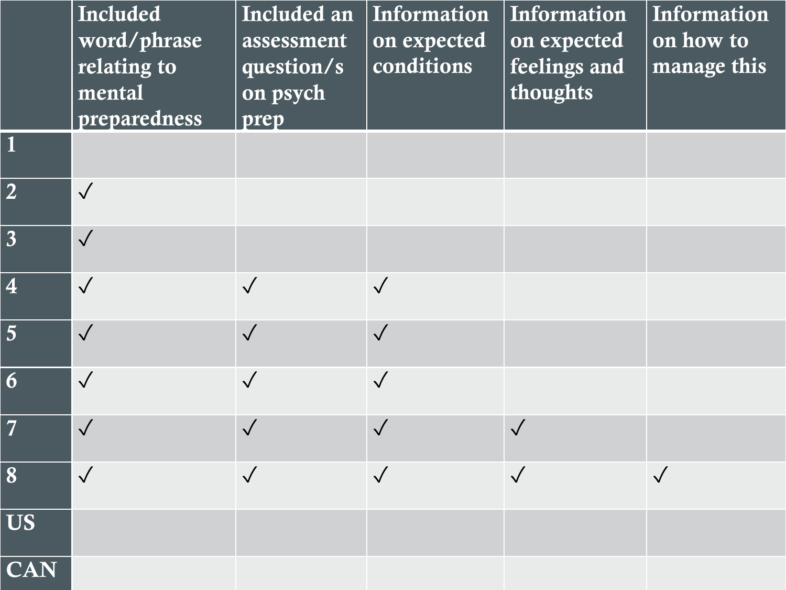|                         | Included<br>word/phrase<br>relating to<br>mental<br>preparedness | assessment<br>question/s<br>on psych<br>prep | Included an Information<br>on expected<br>conditions | Information<br>on expected<br>feelings and<br>thoughts | Information<br>on how to<br>manage this |
|-------------------------|------------------------------------------------------------------|----------------------------------------------|------------------------------------------------------|--------------------------------------------------------|-----------------------------------------|
| $\mathbf{1}$            |                                                                  |                                              |                                                      |                                                        |                                         |
| $\overline{2}$          | $\sqrt{}$                                                        |                                              |                                                      |                                                        |                                         |
| $\overline{\mathbf{3}}$ | $\sqrt{}$                                                        |                                              |                                                      |                                                        |                                         |
| $\overline{\mathbf{4}}$ | $\sqrt{}$                                                        | $\sqrt{}$                                    |                                                      |                                                        |                                         |
| 5                       | $\sqrt{}$                                                        | $\sqrt{}$                                    | $\sqrt{}$                                            |                                                        |                                         |
| 6                       | $\sqrt{}$                                                        | $\sqrt{}$                                    | $\sqrt{}$                                            |                                                        |                                         |
| $\overline{7}$          | $\sqrt{}$                                                        | $\sqrt{}$                                    | $\sqrt{}$                                            | $\checkmark$                                           |                                         |
| 8                       | $\checkmark$                                                     | $\checkmark$                                 |                                                      |                                                        |                                         |
| <b>US</b>               |                                                                  |                                              |                                                      |                                                        |                                         |
| <b>CAN</b>              |                                                                  |                                              |                                                      |                                                        |                                         |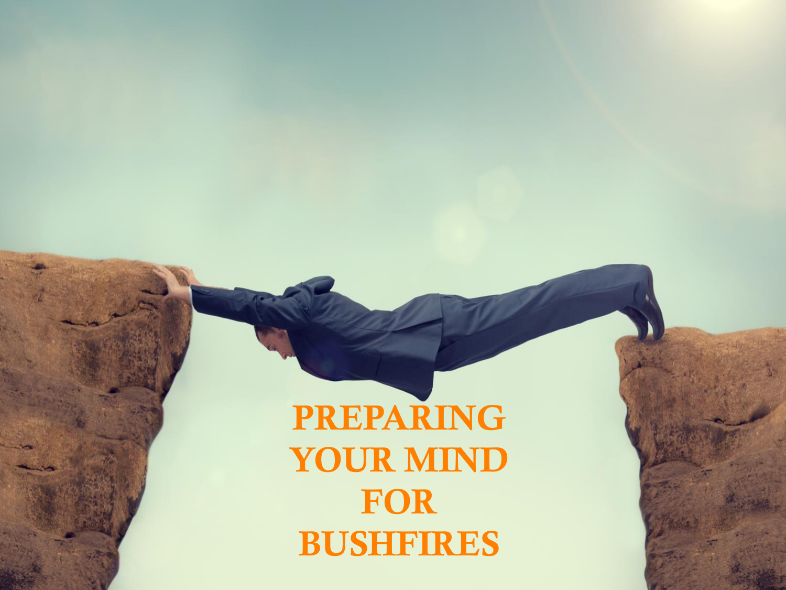**PREPARING YOUR MIND FOR BUSHFIRES**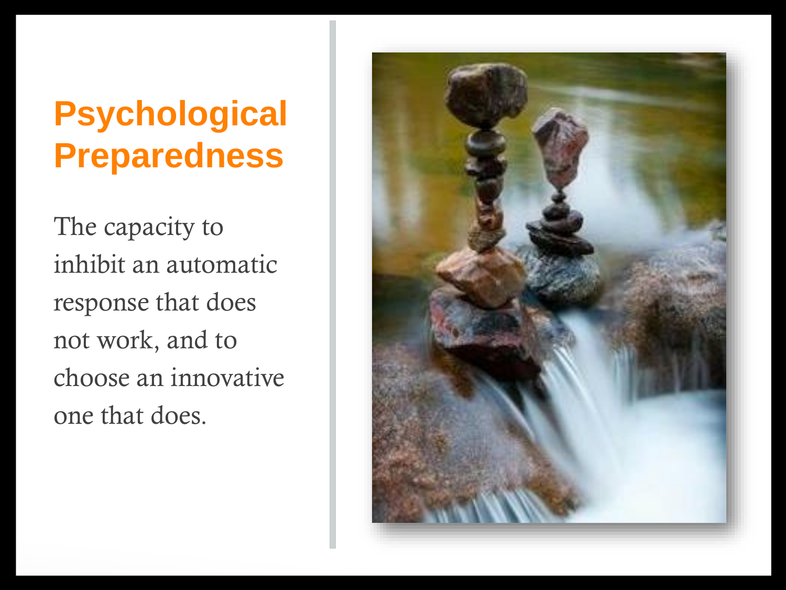#### **Psychological Preparedness**

The capacity to inhibit an automatic response that does not work, and to choose an innovative one that does.

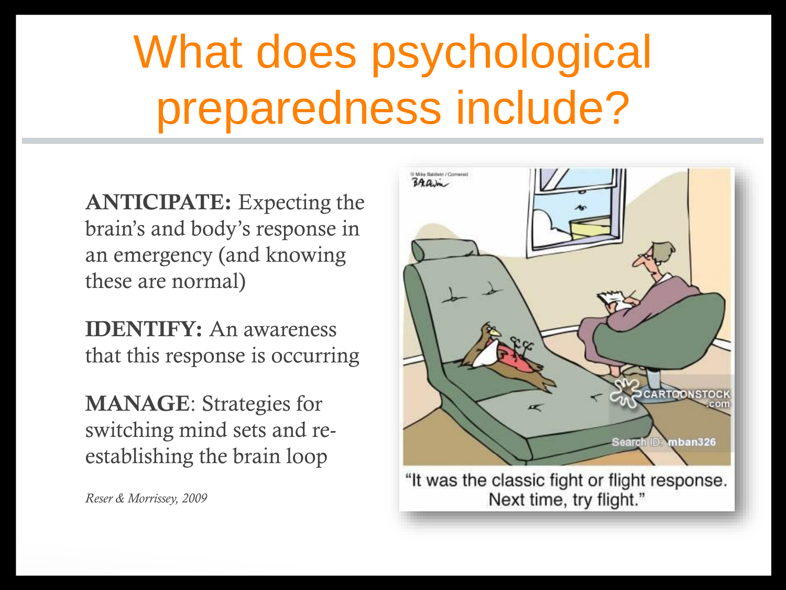#### What does psychological preparedness include?

**ANTICIPATE:** Expecting the brain's and body's response in an emergency (and knowing these are normal)

**IDENTIFY:** An awareness that this response is occurring

**MANAGE**: Strategies for switching mind sets and reestablishing the brain loop

*Reser & Morrissey, 2009*



Next time, try flight."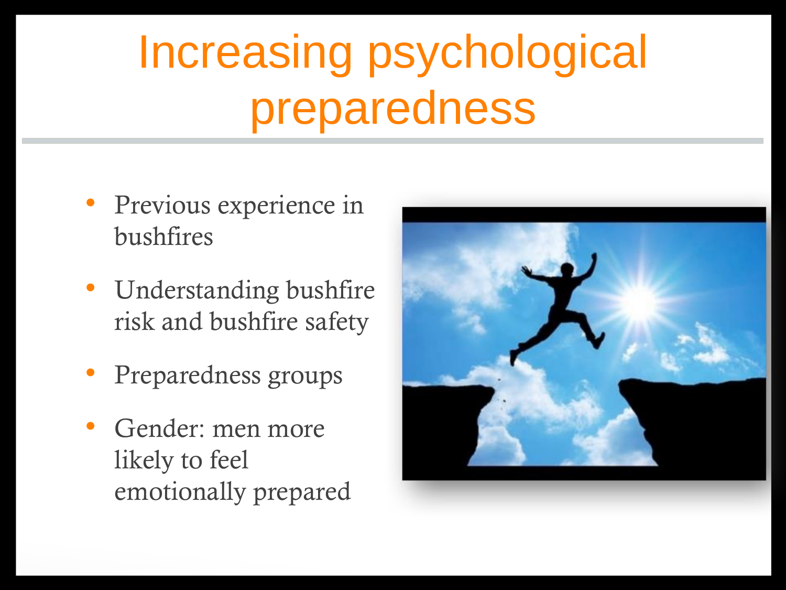#### Increasing psychological preparedness

- Previous experience in bushfires
- Understanding bushfire risk and bushfire safety
- Preparedness groups
- Gender: men more likely to feel emotionally prepared

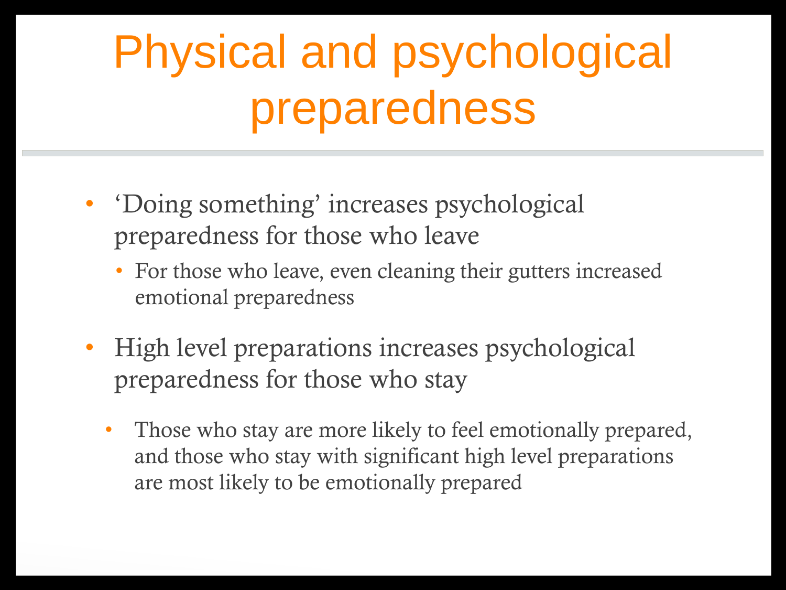#### Physical and psychological preparedness

- 'Doing something' increases psychological preparedness for those who leave
	- For those who leave, even cleaning their gutters increased emotional preparedness
- High level preparations increases psychological preparedness for those who stay
	- Those who stay are more likely to feel emotionally prepared, and those who stay with significant high level preparations are most likely to be emotionally prepared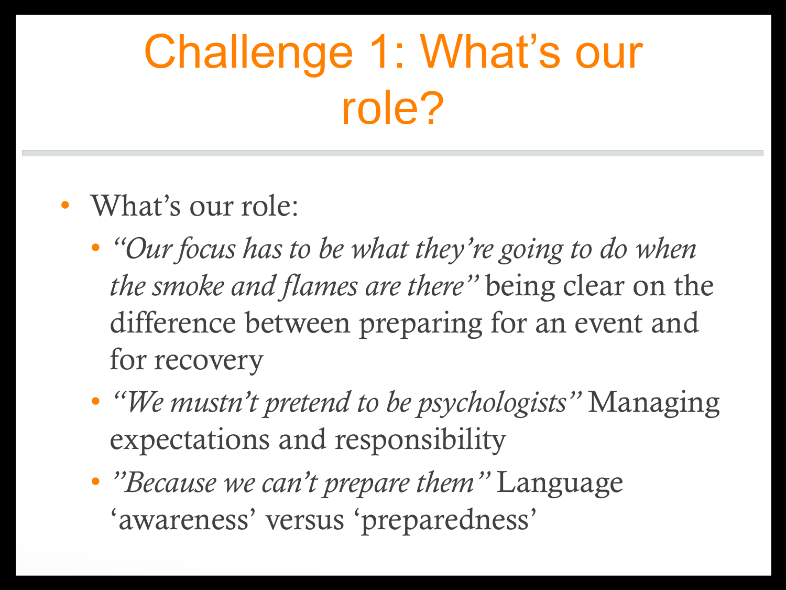#### Challenge 1: What's our role?

- What's our role:
	- *"Our focus has to be what they're going to do when the smoke and flames are there"* being clear on the difference between preparing for an event and for recovery
	- *"We mustn't pretend to be psychologists"* Managing expectations and responsibility
	- *"Because we can't prepare them"* Language 'awareness' versus 'preparedness'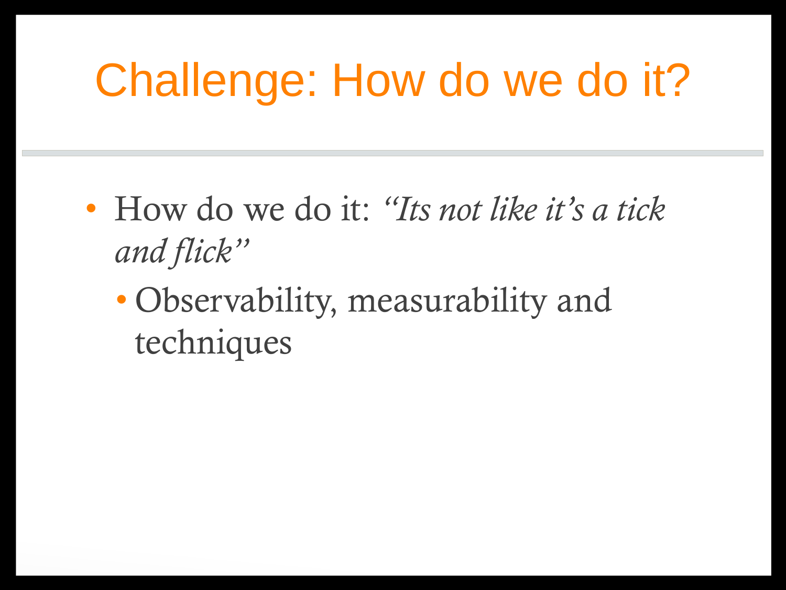#### Challenge: How do we do it?

- How do we do it: *"Its not like it's a tick and flick"* 
	- Observability, measurability and techniques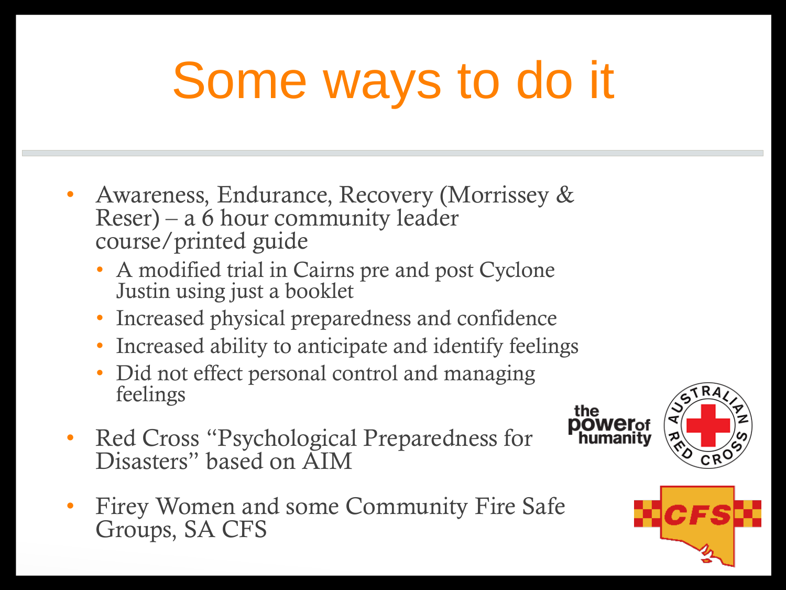## Some ways to do it

- Awareness, Endurance, Recovery (Morrissey & Reser) – a 6 hour community leader course/printed guide
	- A modified trial in Cairns pre and post Cyclone Justin using just a booklet
	- Increased physical preparedness and confidence
	- Increased ability to anticipate and identify feelings
	- Did not effect personal control and managing feelings
- Red Cross "Psychological Preparedness for Disasters" based on AIM





the

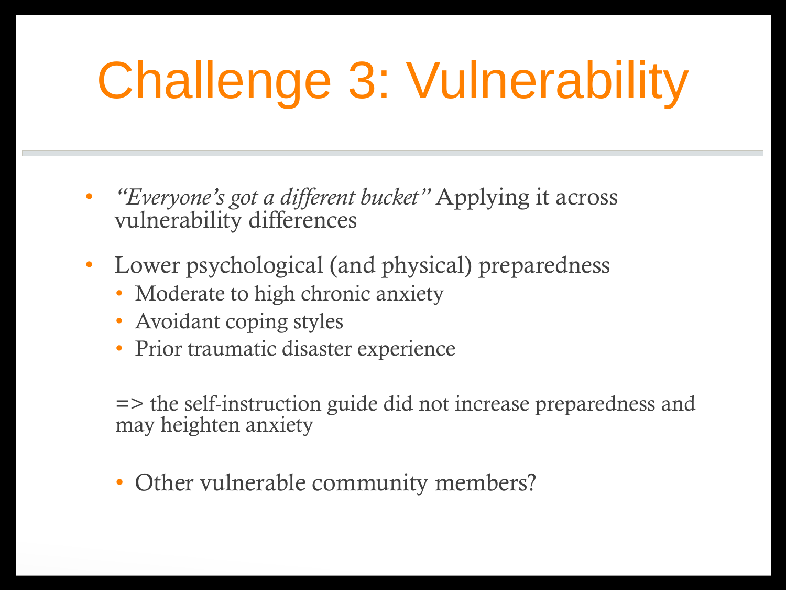# Challenge 3: Vulnerability

- *"Everyone's got a different bucket"* Applying it across vulnerability differences
- Lower psychological (and physical) preparedness
	- Moderate to high chronic anxiety
	- Avoidant coping styles
	- Prior traumatic disaster experience

=> the self-instruction guide did not increase preparedness and may heighten anxiety

• Other vulnerable community members?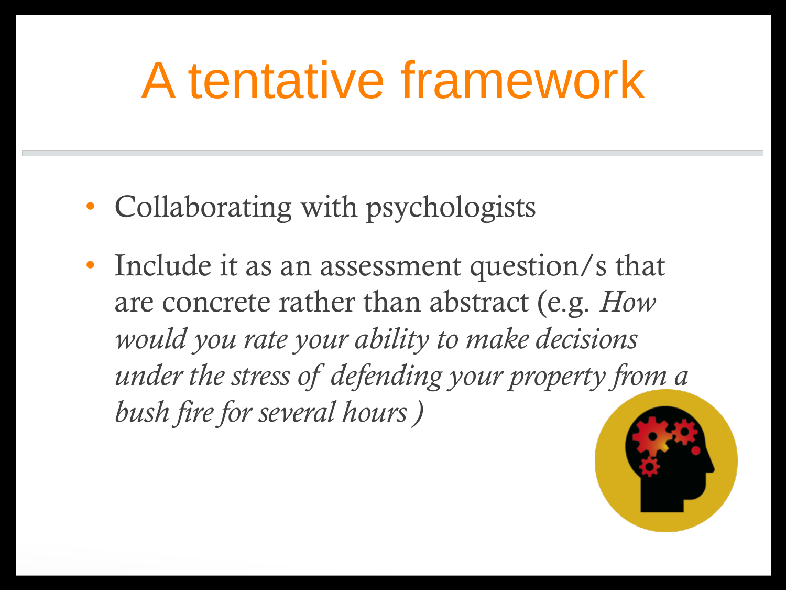## A tentative framework

- Collaborating with psychologists
- Include it as an assessment question/s that are concrete rather than abstract (e.g. *How would you rate your ability to make decisions under the stress of defending your property from a bush fire for several hours )*

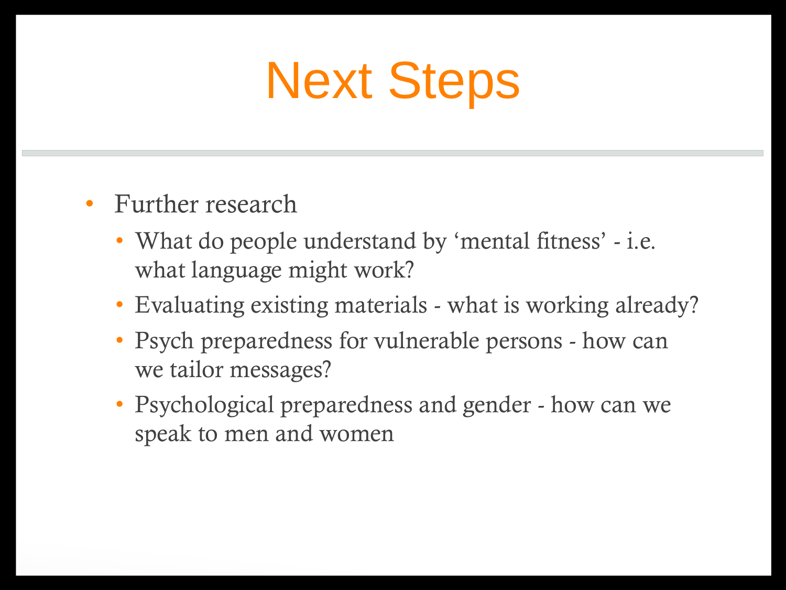## Next Steps

- Further research
	- What do people understand by 'mental fitness' i.e. what language might work?
	- Evaluating existing materials what is working already?
	- Psych preparedness for vulnerable persons how can we tailor messages?
	- Psychological preparedness and gender how can we speak to men and women